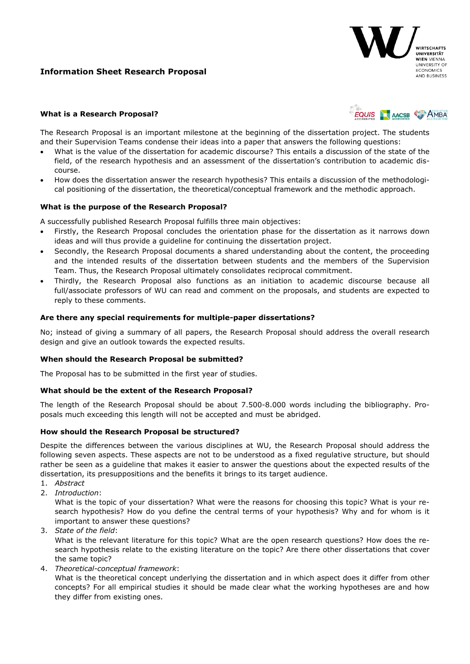# **Information Sheet Research Proposal**



## **What is a Research Proposal?**



The Research Proposal is an important milestone at the beginning of the dissertation project. The students and their Supervision Teams condense their ideas into a paper that answers the following questions:

- What is the value of the dissertation for academic discourse? This entails a discussion of the state of the field, of the research hypothesis and an assessment of the dissertation's contribution to academic discourse.
- How does the dissertation answer the research hypothesis? This entails a discussion of the methodological positioning of the dissertation, the theoretical/conceptual framework and the methodic approach.

#### **What is the purpose of the Research Proposal?**

A successfully published Research Proposal fulfills three main objectives:

- Firstly, the Research Proposal concludes the orientation phase for the dissertation as it narrows down ideas and will thus provide a guideline for continuing the dissertation project.
- Secondly, the Research Proposal documents a shared understanding about the content, the proceeding and the intended results of the dissertation between students and the members of the Supervision Team. Thus, the Research Proposal ultimately consolidates reciprocal commitment.
- Thirdly, the Research Proposal also functions as an initiation to academic discourse because all full/associate professors of WU can read and comment on the proposals, and students are expected to reply to these comments.

### **Are there any special requirements for multiple-paper dissertations?**

No; instead of giving a summary of all papers, the Research Proposal should address the overall research design and give an outlook towards the expected results.

#### **When should the Research Proposal be submitted?**

The Proposal has to be submitted in the first year of studies.

#### **What should be the extent of the Research Proposal?**

The length of the Research Proposal should be about 7.500-8.000 words including the bibliography. Proposals much exceeding this length will not be accepted and must be abridged.

#### **How should the Research Proposal be structured?**

Despite the differences between the various disciplines at WU, the Research Proposal should address the following seven aspects. These aspects are not to be understood as a fixed regulative structure, but should rather be seen as a guideline that makes it easier to answer the questions about the expected results of the dissertation, its presuppositions and the benefits it brings to its target audience.

- 1. *Abstract*
- 2. *Introduction*:

What is the topic of your dissertation? What were the reasons for choosing this topic? What is your research hypothesis? How do you define the central terms of your hypothesis? Why and for whom is it important to answer these questions?

3. *State of the field*:

What is the relevant literature for this topic? What are the open research questions? How does the research hypothesis relate to the existing literature on the topic? Are there other dissertations that cover the same topic?

4. *Theoretical-conceptual framework*:

What is the theoretical concept underlying the dissertation and in which aspect does it differ from other concepts? For all empirical studies it should be made clear what the working hypotheses are and how they differ from existing ones.